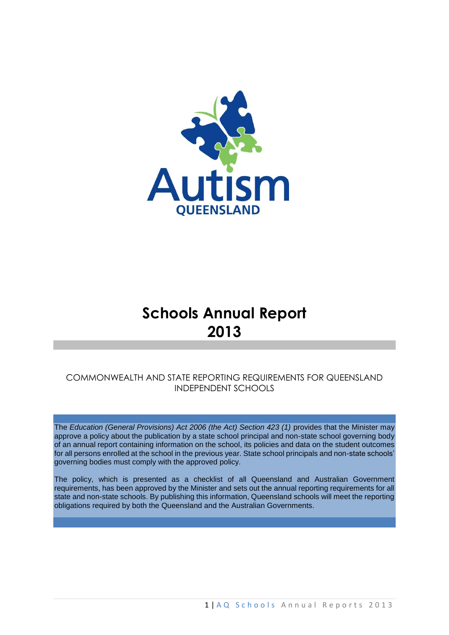

# **Schools Annual Report 2013**

# COMMONWEALTH AND STATE REPORTING REQUIREMENTS FOR QUEENSLAND INDEPENDENT SCHOOLS

The *Education (General Provisions) Act 2006 (the Act) Section 423 (1)* provides that the Minister may approve a policy about the publication by a state school principal and non-state school governing body of an annual report containing information on the school, its policies and data on the student outcomes for all persons enrolled at the school in the previous year. State school principals and non-state schools' governing bodies must comply with the approved policy*.* 

The policy, which is presented as a checklist of all Queensland and Australian Government requirements, has been approved by the Minister and sets out the annual reporting requirements for all state and non-state schools. By publishing this information, Queensland schools will meet the reporting obligations required by both the Queensland and the Australian Governments.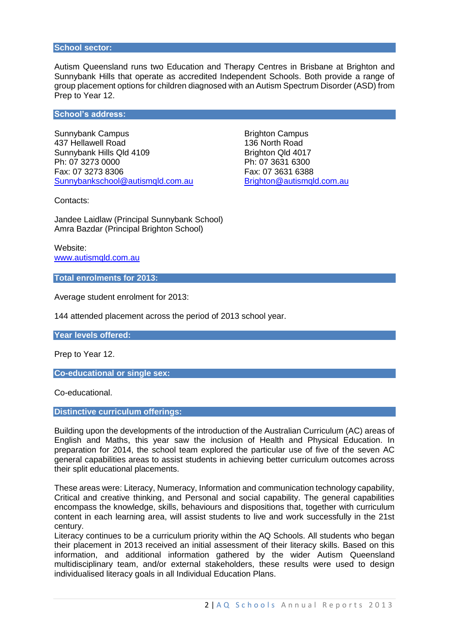#### **School sector:**

Autism Queensland runs two Education and Therapy Centres in Brisbane at Brighton and Sunnybank Hills that operate as accredited Independent Schools. Both provide a range of group placement options for children diagnosed with an Autism Spectrum Disorder (ASD) from Prep to Year 12.

#### **School's address:**

Sunnybank Campus **Brighton Campus** Brighton Campus 437 Hellawell Road 136 North Road Sunnybank Hills Qld 4109 Brighton Qld 4017 Ph: 07 3273 0000 Ph: 07 3631 6300 Fax: 07 3273 8306 Fax: 07 3631 6388 [Sunnybankschool@autismqld.com.au](mailto:Sunnybankschool@autismqld.com.au) [Brighton@autismqld.com.au](mailto:Brighton@autismqld.com.au)

Contacts:

Jandee Laidlaw (Principal Sunnybank School) Amra Bazdar (Principal Brighton School)

Website: [www.autismqld.com.au](http://www.autismqld.com.au/)

**Total enrolments for 2013:** 

Average student enrolment for 2013:

144 attended placement across the period of 2013 school year.

**Year levels offered:** 

Prep to Year 12.

**Co-educational or single sex:** 

Co-educational.

**Distinctive curriculum offerings:** 

Building upon the developments of the introduction of the Australian Curriculum (AC) areas of English and Maths, this year saw the inclusion of Health and Physical Education. In preparation for 2014, the school team explored the particular use of five of the seven AC general capabilities areas to assist students in achieving better curriculum outcomes across their split educational placements.

These areas were: Literacy, Numeracy, Information and communication technology capability, Critical and creative thinking, and Personal and social capability. The general capabilities encompass the knowledge, skills, behaviours and dispositions that, together with curriculum content in each learning area, will assist students to live and work successfully in the 21st century.

Literacy continues to be a curriculum priority within the AQ Schools. All students who began their placement in 2013 received an initial assessment of their literacy skills. Based on this information, and additional information gathered by the wider Autism Queensland multidisciplinary team, and/or external stakeholders, these results were used to design individualised literacy goals in all Individual Education Plans.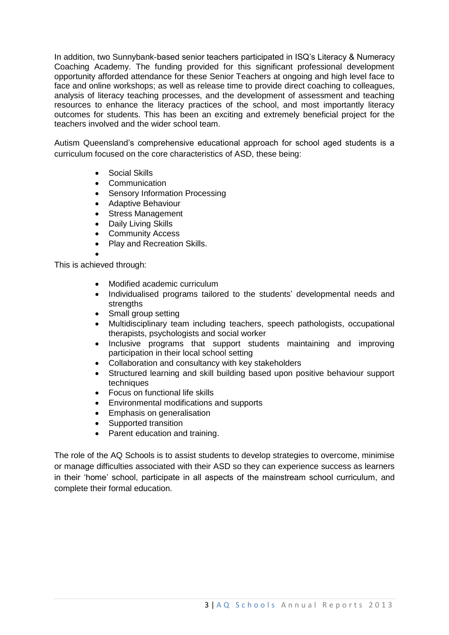In addition, two Sunnybank-based senior teachers participated in ISQ's Literacy & Numeracy Coaching Academy. The funding provided for this significant professional development opportunity afforded attendance for these Senior Teachers at ongoing and high level face to face and online workshops; as well as release time to provide direct coaching to colleagues, analysis of literacy teaching processes, and the development of assessment and teaching resources to enhance the literacy practices of the school, and most importantly literacy outcomes for students. This has been an exciting and extremely beneficial project for the teachers involved and the wider school team.

Autism Queensland's comprehensive educational approach for school aged students is a curriculum focused on the core characteristics of ASD, these being:

- Social Skills
- Communication
- Sensory Information Processing
- Adaptive Behaviour
- Stress Management
- Daily Living Skills
- Community Access
- Play and Recreation Skills.

This is achieved through:

 $\bullet$ 

- Modified academic curriculum
- Individualised programs tailored to the students' developmental needs and strengths
- Small group setting
- Multidisciplinary team including teachers, speech pathologists, occupational therapists, psychologists and social worker
- Inclusive programs that support students maintaining and improving participation in their local school setting
- Collaboration and consultancy with key stakeholders
- Structured learning and skill building based upon positive behaviour support techniques
- Focus on functional life skills
- Environmental modifications and supports
- Emphasis on generalisation
- Supported transition
- Parent education and training.

The role of the AQ Schools is to assist students to develop strategies to overcome, minimise or manage difficulties associated with their ASD so they can experience success as learners in their 'home' school, participate in all aspects of the mainstream school curriculum, and complete their formal education.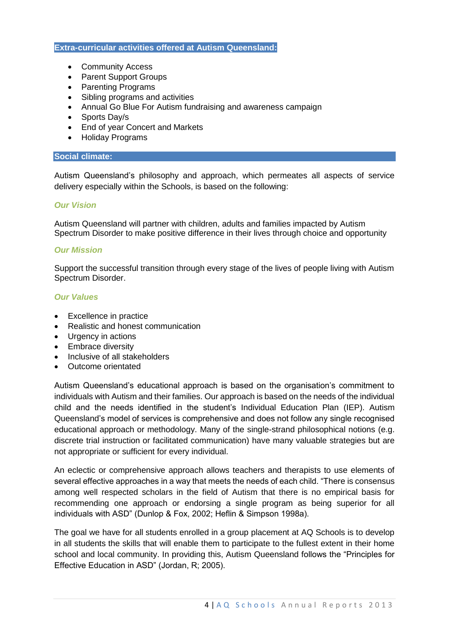#### **Extra-curricular activities offered at Autism Queensland:**

- Community Access
- Parent Support Groups
- Parenting Programs
- Sibling programs and activities
- Annual Go Blue For Autism fundraising and awareness campaign
- Sports Day/s
- End of year Concert and Markets
- Holiday Programs

#### **Social climate:**

Autism Queensland's philosophy and approach, which permeates all aspects of service delivery especially within the Schools, is based on the following:

## *Our Vision*

Autism Queensland will partner with children, adults and families impacted by Autism Spectrum Disorder to make positive difference in their lives through choice and opportunity

#### *Our Mission*

Support the successful transition through every stage of the lives of people living with Autism Spectrum Disorder.

#### *Our Values*

- Excellence in practice
- Realistic and honest communication
- Urgency in actions
- Embrace diversity
- Inclusive of all stakeholders
- Outcome orientated

Autism Queensland's educational approach is based on the organisation's commitment to individuals with Autism and their families. Our approach is based on the needs of the individual child and the needs identified in the student's Individual Education Plan (IEP). Autism Queensland's model of services is comprehensive and does not follow any single recognised educational approach or methodology. Many of the single-strand philosophical notions (e.g. discrete trial instruction or facilitated communication) have many valuable strategies but are not appropriate or sufficient for every individual.

An eclectic or comprehensive approach allows teachers and therapists to use elements of several effective approaches in a way that meets the needs of each child. "There is consensus among well respected scholars in the field of Autism that there is no empirical basis for recommending one approach or endorsing a single program as being superior for all individuals with ASD" (Dunlop & Fox, 2002; Heflin & Simpson 1998a).

The goal we have for all students enrolled in a group placement at AQ Schools is to develop in all students the skills that will enable them to participate to the fullest extent in their home school and local community. In providing this, Autism Queensland follows the "Principles for Effective Education in ASD" (Jordan, R; 2005).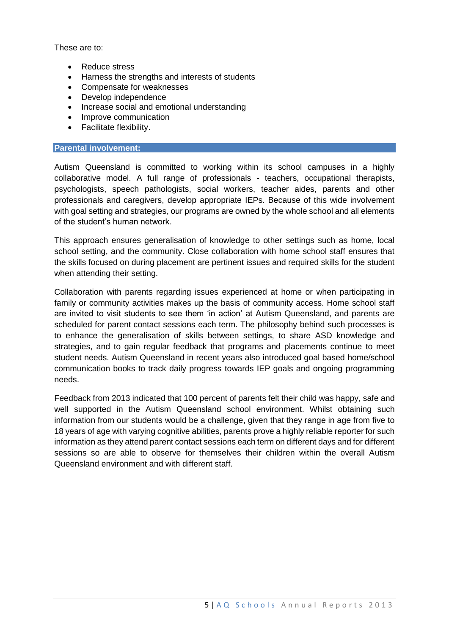These are to:

- Reduce stress
- Harness the strengths and interests of students
- Compensate for weaknesses
- Develop independence
- Increase social and emotional understanding
- Improve communication
- Facilitate flexibility.

# **Parental involvement:**

Autism Queensland is committed to working within its school campuses in a highly collaborative model. A full range of professionals - teachers, occupational therapists, psychologists, speech pathologists, social workers, teacher aides, parents and other professionals and caregivers, develop appropriate IEPs. Because of this wide involvement with goal setting and strategies, our programs are owned by the whole school and all elements of the student's human network.

This approach ensures generalisation of knowledge to other settings such as home, local school setting, and the community. Close collaboration with home school staff ensures that the skills focused on during placement are pertinent issues and required skills for the student when attending their setting.

Collaboration with parents regarding issues experienced at home or when participating in family or community activities makes up the basis of community access. Home school staff are invited to visit students to see them 'in action' at Autism Queensland, and parents are scheduled for parent contact sessions each term. The philosophy behind such processes is to enhance the generalisation of skills between settings, to share ASD knowledge and strategies, and to gain regular feedback that programs and placements continue to meet student needs. Autism Queensland in recent years also introduced goal based home/school communication books to track daily progress towards IEP goals and ongoing programming needs.

Feedback from 2013 indicated that 100 percent of parents felt their child was happy, safe and well supported in the Autism Queensland school environment. Whilst obtaining such information from our students would be a challenge, given that they range in age from five to 18 years of age with varying cognitive abilities, parents prove a highly reliable reporter for such information as they attend parent contact sessions each term on different days and for different sessions so are able to observe for themselves their children within the overall Autism Queensland environment and with different staff.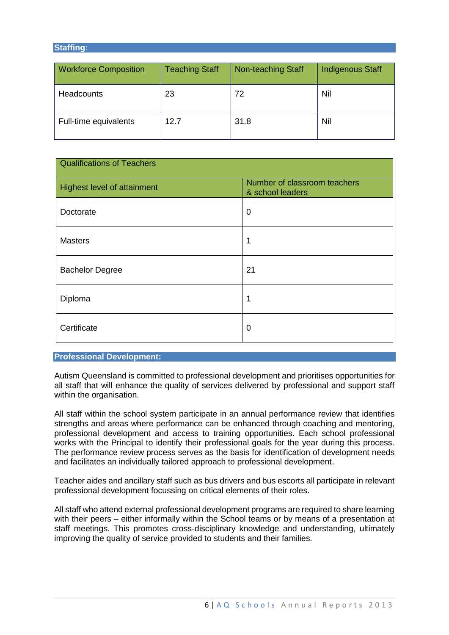#### **Staffing:**

| <b>Workforce Composition</b> | <b>Teaching Staff</b> | Non-teaching Staff | Indigenous Staff |
|------------------------------|-----------------------|--------------------|------------------|
| <b>Headcounts</b>            | 23                    | 72                 | Nil              |
| Full-time equivalents        | 12.7                  | 31.8               | Nil              |

| <b>Qualifications of Teachers</b> |                                                  |  |  |
|-----------------------------------|--------------------------------------------------|--|--|
| Highest level of attainment       | Number of classroom teachers<br>& school leaders |  |  |
| Doctorate                         | 0                                                |  |  |
| <b>Masters</b>                    | 1                                                |  |  |
| <b>Bachelor Degree</b>            | 21                                               |  |  |
| Diploma                           | 1                                                |  |  |
| Certificate                       | 0                                                |  |  |

#### **Professional Development:**

Autism Queensland is committed to professional development and prioritises opportunities for all staff that will enhance the quality of services delivered by professional and support staff within the organisation.

All staff within the school system participate in an annual performance review that identifies strengths and areas where performance can be enhanced through coaching and mentoring, professional development and access to training opportunities. Each school professional works with the Principal to identify their professional goals for the year during this process. The performance review process serves as the basis for identification of development needs and facilitates an individually tailored approach to professional development.

Teacher aides and ancillary staff such as bus drivers and bus escorts all participate in relevant professional development focussing on critical elements of their roles.

All staff who attend external professional development programs are required to share learning with their peers – either informally within the School teams or by means of a presentation at staff meetings. This promotes cross-disciplinary knowledge and understanding, ultimately improving the quality of service provided to students and their families.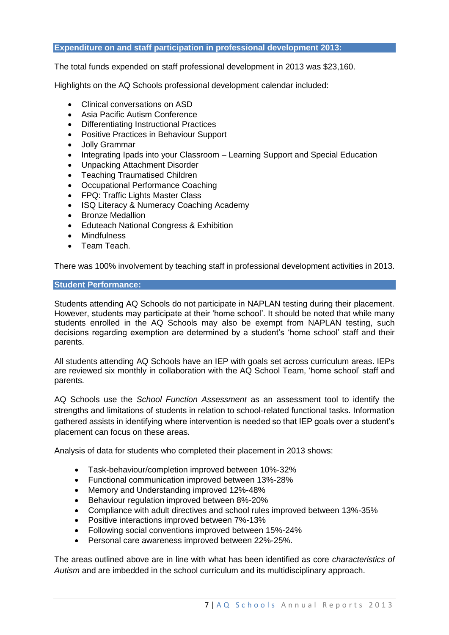#### **Expenditure on and staff participation in professional development 2013:**

The total funds expended on staff professional development in 2013 was \$23,160.

Highlights on the AQ Schools professional development calendar included:

- Clinical conversations on ASD
- Asia Pacific Autism Conference
- Differentiating Instructional Practices
- Positive Practices in Behaviour Support
- Jolly Grammar
- Integrating Ipads into your Classroom Learning Support and Special Education
- Unpacking Attachment Disorder
- Teaching Traumatised Children
- Occupational Performance Coaching
- FPQ: Traffic Lights Master Class
- ISQ Literacy & Numeracy Coaching Academy
- Bronze Medallion
- Eduteach National Congress & Exhibition
- Mindfulness
- Team Teach.

There was 100% involvement by teaching staff in professional development activities in 2013.

#### **Student Performance:**

Students attending AQ Schools do not participate in NAPLAN testing during their placement. However, students may participate at their 'home school'. It should be noted that while many students enrolled in the AQ Schools may also be exempt from NAPLAN testing, such decisions regarding exemption are determined by a student's 'home school' staff and their parents.

All students attending AQ Schools have an IEP with goals set across curriculum areas. IEPs are reviewed six monthly in collaboration with the AQ School Team, 'home school' staff and parents.

AQ Schools use the *School Function Assessment* as an assessment tool to identify the strengths and limitations of students in relation to school-related functional tasks. Information gathered assists in identifying where intervention is needed so that IEP goals over a student's placement can focus on these areas.

Analysis of data for students who completed their placement in 2013 shows:

- Task-behaviour/completion improved between 10%-32%
- Functional communication improved between 13%-28%
- Memory and Understanding improved 12%-48%
- Behaviour regulation improved between 8%-20%
- Compliance with adult directives and school rules improved between 13%-35%
- Positive interactions improved between 7%-13%
- Following social conventions improved between 15%-24%
- Personal care awareness improved between 22%-25%.

The areas outlined above are in line with what has been identified as core *characteristics of Autism* and are imbedded in the school curriculum and its multidisciplinary approach.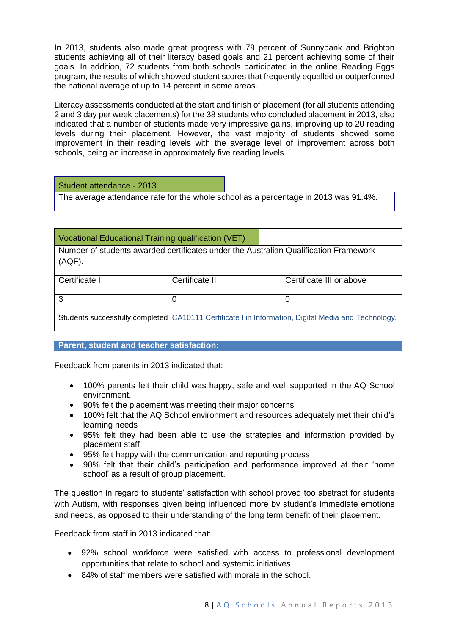In 2013, students also made great progress with 79 percent of Sunnybank and Brighton students achieving all of their literacy based goals and 21 percent achieving some of their goals. In addition, 72 students from both schools participated in the online Reading Eggs program, the results of which showed student scores that frequently equalled or outperformed the national average of up to 14 percent in some areas.

Literacy assessments conducted at the start and finish of placement (for all students attending 2 and 3 day per week placements) for the 38 students who concluded placement in 2013, also indicated that a number of students made very impressive gains, improving up to 20 reading levels during their placement. However, the vast majority of students showed some improvement in their reading levels with the average level of improvement across both schools, being an increase in approximately five reading levels.

## Student attendance - 2013

The average attendance rate for the whole school as a percentage in 2013 was 91.4%.

# Vocational Educational Training qualification (VET)

Number of students awarded certificates under the Australian Qualification Framework (AQF).

| Certificate I                                                                                        | Certificate II | Certificate III or above |  |  |
|------------------------------------------------------------------------------------------------------|----------------|--------------------------|--|--|
|                                                                                                      |                |                          |  |  |
| Students successfully completed ICA10111 Certificate I in Information, Digital Media and Technology. |                |                          |  |  |

## **Parent, student and teacher satisfaction:**

Feedback from parents in 2013 indicated that:

- 100% parents felt their child was happy, safe and well supported in the AQ School environment.
- 90% felt the placement was meeting their major concerns
- 100% felt that the AQ School environment and resources adequately met their child's learning needs
- 95% felt they had been able to use the strategies and information provided by placement staff
- 95% felt happy with the communication and reporting process
- 90% felt that their child's participation and performance improved at their 'home school' as a result of group placement.

The question in regard to students' satisfaction with school proved too abstract for students with Autism, with responses given being influenced more by student's immediate emotions and needs, as opposed to their understanding of the long term benefit of their placement.

Feedback from staff in 2013 indicated that:

- 92% school workforce were satisfied with access to professional development opportunities that relate to school and systemic initiatives
- 84% of staff members were satisfied with morale in the school.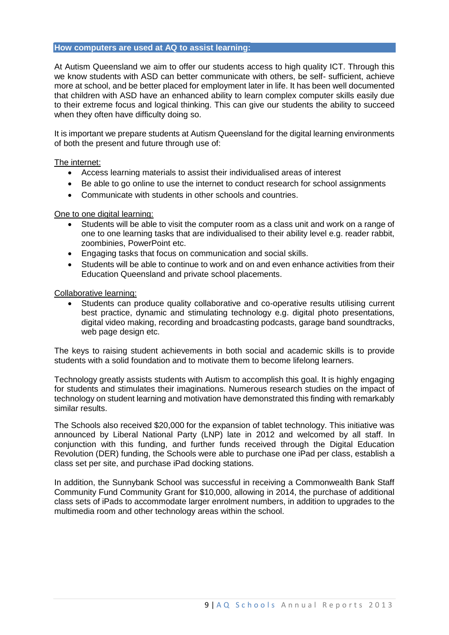#### **How computers are used at AQ to assist learning:**

At Autism Queensland we aim to offer our students access to high quality ICT. Through this we know students with ASD can better communicate with others, be self- sufficient, achieve more at school, and be better placed for employment later in life. It has been well documented that children with ASD have an enhanced ability to learn complex computer skills easily due to their extreme focus and logical thinking. This can give our students the ability to succeed when they often have difficulty doing so.

It is important we prepare students at Autism Queensland for the digital learning environments of both the present and future through use of:

#### The internet:

- Access learning materials to assist their individualised areas of interest
- Be able to go online to use the internet to conduct research for school assignments
- Communicate with students in other schools and countries.

## One to one digital learning:

- Students will be able to visit the computer room as a class unit and work on a range of one to one learning tasks that are individualised to their ability level e.g. reader rabbit, zoombinies, PowerPoint etc.
- Engaging tasks that focus on communication and social skills.
- Students will be able to continue to work and on and even enhance activities from their Education Queensland and private school placements.

#### Collaborative learning:

 Students can produce quality collaborative and co-operative results utilising current best practice, dynamic and stimulating technology e.g. digital photo presentations, digital video making, recording and broadcasting podcasts, garage band soundtracks, web page design etc.

The keys to raising student achievements in both social and academic skills is to provide students with a solid foundation and to motivate them to become lifelong learners.

Technology greatly assists students with Autism to accomplish this goal. It is highly engaging for students and stimulates their imaginations. Numerous research studies on the impact of technology on student learning and motivation have demonstrated this finding with remarkably similar results.

The Schools also received \$20,000 for the expansion of tablet technology. This initiative was announced by Liberal National Party (LNP) late in 2012 and welcomed by all staff. In conjunction with this funding, and further funds received through the Digital Education Revolution (DER) funding, the Schools were able to purchase one iPad per class, establish a class set per site, and purchase iPad docking stations.

In addition, the Sunnybank School was successful in receiving a Commonwealth Bank Staff Community Fund Community Grant for \$10,000, allowing in 2014, the purchase of additional class sets of iPads to accommodate larger enrolment numbers, in addition to upgrades to the multimedia room and other technology areas within the school.